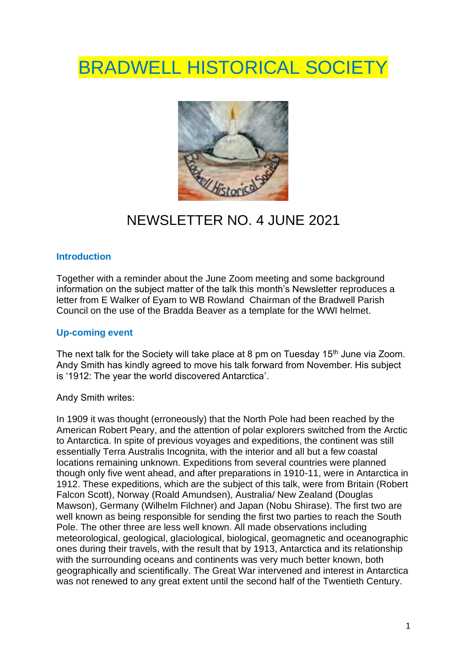# **BRADWELL HISTORICAL SOCIETY**



## NEWSLETTER NO. 4 JUNE 2021

#### **Introduction**

Together with a reminder about the June Zoom meeting and some background information on the subject matter of the talk this month's Newsletter reproduces a letter from E Walker of Eyam to WB Rowland Chairman of the Bradwell Parish Council on the use of the Bradda Beaver as a template for the WWI helmet.

### **Up-coming event**

The next talk for the Society will take place at 8 pm on Tuesday 15<sup>th</sup> June via Zoom. Andy Smith has kindly agreed to move his talk forward from November. His subject is '1912: The year the world discovered Antarctica'.

Andy Smith writes:

In 1909 it was thought (erroneously) that the North Pole had been reached by the American Robert Peary, and the attention of polar explorers switched from the Arctic to Antarctica. In spite of previous voyages and expeditions, the continent was still essentially Terra Australis Incognita, with the interior and all but a few coastal locations remaining unknown. Expeditions from several countries were planned though only five went ahead, and after preparations in 1910-11, were in Antarctica in 1912. These expeditions, which are the subject of this talk, were from Britain (Robert Falcon Scott), Norway (Roald Amundsen), Australia/ New Zealand (Douglas Mawson), Germany (Wilhelm Filchner) and Japan (Nobu Shirase). The first two are well known as being responsible for sending the first two parties to reach the South Pole. The other three are less well known. All made observations including meteorological, geological, glaciological, biological, geomagnetic and oceanographic ones during their travels, with the result that by 1913, Antarctica and its relationship with the surrounding oceans and continents was very much better known, both geographically and scientifically. The Great War intervened and interest in Antarctica was not renewed to any great extent until the second half of the Twentieth Century.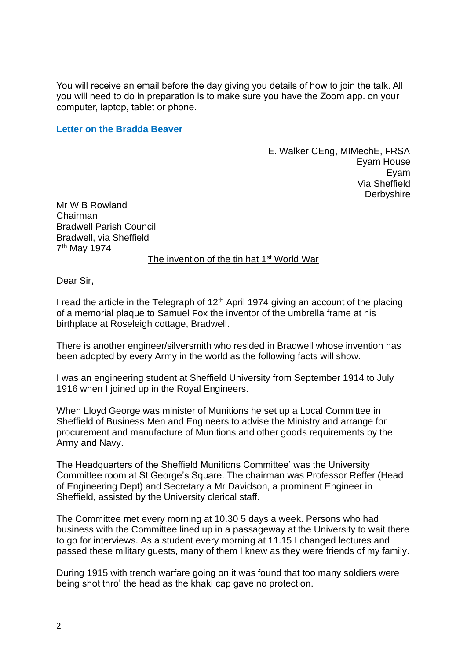You will receive an email before the day giving you details of how to join the talk. All you will need to do in preparation is to make sure you have the Zoom app. on your computer, laptop, tablet or phone.

#### **Letter on the Bradda Beaver**

E. Walker CEng, MIMechE, FRSA Eyam House Eyam Via Sheffield **Derbyshire** 

Mr W B Rowland Chairman Bradwell Parish Council Bradwell, via Sheffield 7<sup>th</sup> May 1974

The invention of the tin hat 1<sup>st</sup> World War

Dear Sir,

I read the article in the Telegraph of  $12<sup>th</sup>$  April 1974 giving an account of the placing of a memorial plaque to Samuel Fox the inventor of the umbrella frame at his birthplace at Roseleigh cottage, Bradwell.

There is another engineer/silversmith who resided in Bradwell whose invention has been adopted by every Army in the world as the following facts will show.

I was an engineering student at Sheffield University from September 1914 to July 1916 when I joined up in the Royal Engineers.

When Lloyd George was minister of Munitions he set up a Local Committee in Sheffield of Business Men and Engineers to advise the Ministry and arrange for procurement and manufacture of Munitions and other goods requirements by the Army and Navy.

The Headquarters of the Sheffield Munitions Committee' was the University Committee room at St George's Square. The chairman was Professor Reffer (Head of Engineering Dept) and Secretary a Mr Davidson, a prominent Engineer in Sheffield, assisted by the University clerical staff.

The Committee met every morning at 10.30 5 days a week. Persons who had business with the Committee lined up in a passageway at the University to wait there to go for interviews. As a student every morning at 11.15 I changed lectures and passed these military guests, many of them I knew as they were friends of my family.

During 1915 with trench warfare going on it was found that too many soldiers were being shot thro' the head as the khaki cap gave no protection.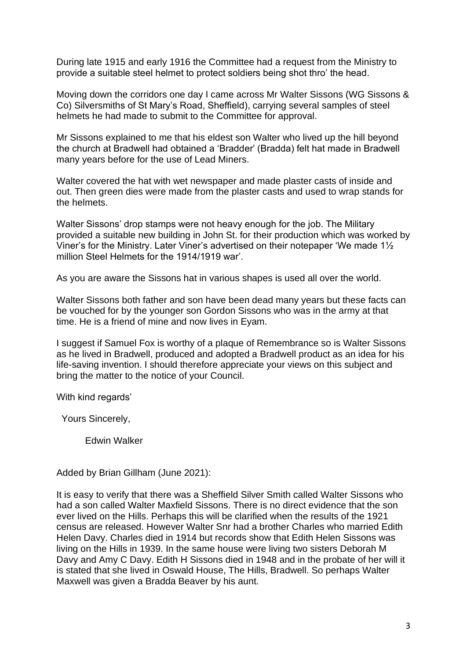During late 1915 and early 1916 the Committee had a request from the Ministry to provide a suitable steel helmet to protect soldiers being shot thro' the head.

Moving down the corridors one day I came across Mr Walter Sissons (WG Sissons & Co) Silversmiths of St Mary's Road, Sheffield), carrying several samples of steel helmets he had made to submit to the Committee for approval.

Mr Sissons explained to me that his eldest son Walter who lived up the hill beyond the church at Bradwell had obtained a 'Bradder' (Bradda) felt hat made in Bradwell many years before for the use of Lead Miners.

Walter covered the hat with wet newspaper and made plaster casts of inside and out. Then green dies were made from the plaster casts and used to wrap stands for the helmets.

Walter Sissons' drop stamps were not heavy enough for the job. The Military provided a suitable new building in John St. for their production which was worked by Viner's for the Ministry. Later Viner's advertised on their notepaper 'We made 1½ million Steel Helmets for the 1914/1919 war'.

As you are aware the Sissons hat in various shapes is used all over the world.

Walter Sissons both father and son have been dead many years but these facts can be vouched for by the younger son Gordon Sissons who was in the army at that time. He is a friend of mine and now lives in Eyam.

I suggest if Samuel Fox is worthy of a plaque of Remembrance so is Walter Sissons as he lived in Bradwell, produced and adopted a Bradwell product as an idea for his life-saving invention. I should therefore appreciate your views on this subject and bring the matter to the notice of your Council.

With kind regards'

Yours Sincerely,

Edwin Walker

Added by Brian Gillham (June 2021):

It is easy to verify that there was a Sheffield Silver Smith called Walter Sissons who had a son called Walter Maxfield Sissons. There is no direct evidence that the son ever lived on the Hills. Perhaps this will be clarified when the results of the 1921 census are released. However Walter Snr had a brother Charles who married Edith Helen Davy. Charles died in 1914 but records show that Edith Helen Sissons was living on the Hills in 1939. In the same house were living two sisters Deborah M Davy and Amy C Davy. Edith H Sissons died in 1948 and in the probate of her will it is stated that she lived in Oswald House, The Hills, Bradwell. So perhaps Walter Maxwell was given a Bradda Beaver by his aunt.